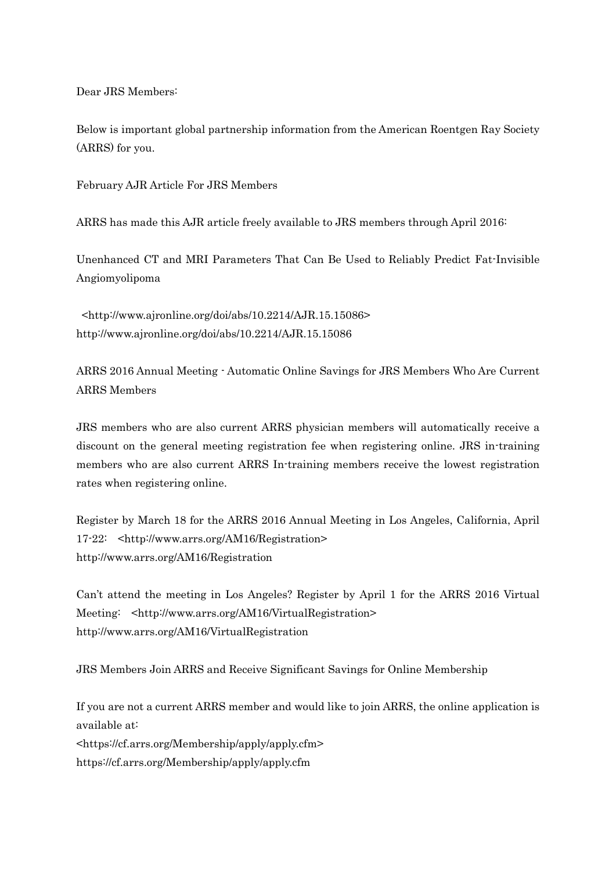Dear JRS Members:

Below is important global partnership information from the American Roentgen Ray Society (ARRS) for you.

February AJR Article For JRS Members

ARRS has made this AJR article freely available to JRS members through April 2016:

Unenhanced CT and MRI Parameters That Can Be Used to Reliably Predict Fat-Invisible Angiomyolipoma

<http://www.ajronline.org/doi/abs/10.2214/AJR.15.15086> http://www.ajronline.org/doi/abs/10.2214/AJR.15.15086

ARRS 2016 Annual Meeting - Automatic Online Savings for JRS Members Who Are Current ARRS Members

JRS members who are also current ARRS physician members will automatically receive a discount on the general meeting registration fee when registering online. JRS in-training members who are also current ARRS In-training members receive the lowest registration rates when registering online.

Register by March 18 for the ARRS 2016 Annual Meeting in Los Angeles, California, April 17-22: <http://www.arrs.org/AM16/Registration> http://www.arrs.org/AM16/Registration

Can't attend the meeting in Los Angeles? Register by April 1 for the ARRS 2016 Virtual Meeting: <http://www.arrs.org/AM16/VirtualRegistration> http://www.arrs.org/AM16/VirtualRegistration

JRS Members Join ARRS and Receive Significant Savings for Online Membership

If you are not a current ARRS member and would like to join ARRS, the online application is available at: <https://cf.arrs.org/Membership/apply/apply.cfm> https://cf.arrs.org/Membership/apply/apply.cfm